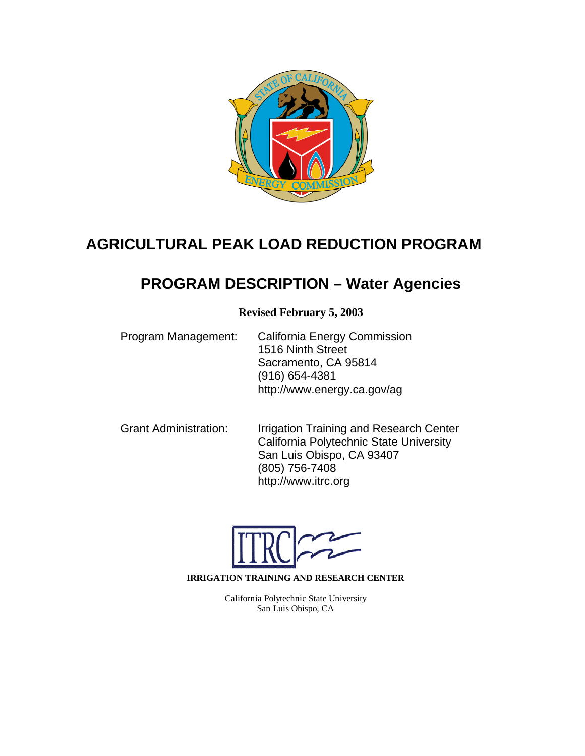

# **AGRICULTURAL PEAK LOAD REDUCTION PROGRAM**

# **PROGRAM DESCRIPTION – Water Agencies**

**Revised February 5, 2003**

| Program Management: | <b>California Energy Commission</b> |  |  |  |  |
|---------------------|-------------------------------------|--|--|--|--|
|                     | 1516 Ninth Street                   |  |  |  |  |
|                     | Sacramento, CA 95814                |  |  |  |  |
|                     | $(916) 654 - 4381$                  |  |  |  |  |
|                     | http://www.energy.ca.gov/ag         |  |  |  |  |

Grant Administration: Irrigation Training and Research Center California Polytechnic State University San Luis Obispo, CA 93407 (805) 756-7408 http://www.itrc.org

**IRRIGATION TRAINING AND RESEARCH CENTER**

California Polytechnic State University San Luis Obispo, CA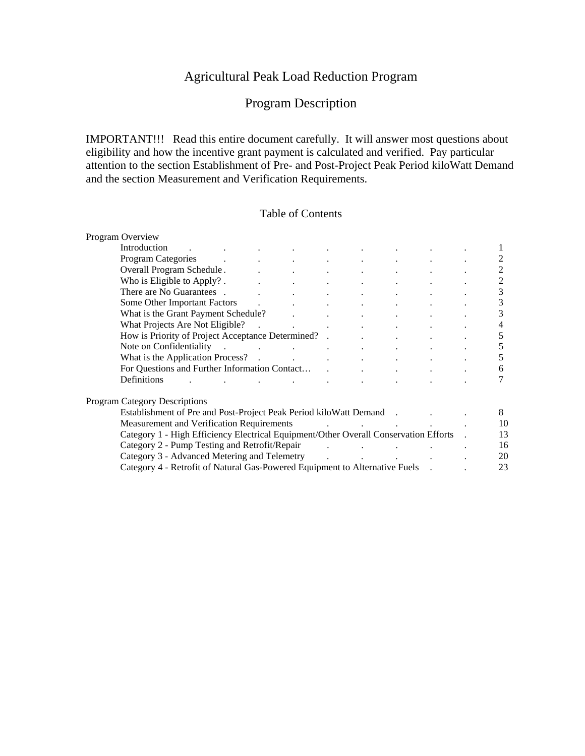# Agricultural Peak Load Reduction Program

# Program Description

IMPORTANT!!! Read this entire document carefully. It will answer most questions about eligibility and how the incentive grant payment is calculated and verified. Pay particular attention to the section Establishment of Pre- and Post-Project Peak Period kiloWatt Demand and the section Measurement and Verification Requirements.

### Table of Contents

| Program Overview                                                                                                                                                                                                               |  |                                                |  |                                                 |                              |                      |    |
|--------------------------------------------------------------------------------------------------------------------------------------------------------------------------------------------------------------------------------|--|------------------------------------------------|--|-------------------------------------------------|------------------------------|----------------------|----|
|                                                                                                                                                                                                                                |  |                                                |  | and the state of the state                      | <b>All Control</b>           |                      |    |
| Program Categories and the contract of the contract of the contract of the contract of the contract of the contract of the contract of the contract of the contract of the contract of the contract of the contract of the con |  |                                                |  |                                                 |                              |                      | 2  |
| Overall Program Schedule.                                                                                                                                                                                                      |  |                                                |  |                                                 |                              |                      | 2  |
| Who is Eligible to Apply? The contract of the contract of the contract of the contract of the contract of the contract of the contract of the contract of the contract of the contract of the contract of the contract of the  |  |                                                |  |                                                 |                              |                      | 2  |
| There are No Guarantees .                                                                                                                                                                                                      |  |                                                |  | <b>Allen Committee</b>                          | <b>All Contract Contract</b> |                      | 3  |
| Some Other Important Factors and the contract of the contract of the contract of the contract of the contract of the contract of the contract of the contract of the contract of the contract of the contract of the contract  |  |                                                |  |                                                 |                              |                      | 3  |
| What is the Grant Payment Schedule?                                                                                                                                                                                            |  |                                                |  |                                                 |                              |                      | 3  |
|                                                                                                                                                                                                                                |  |                                                |  |                                                 |                              |                      | 4  |
| How is Priority of Project Acceptance Determined? .                                                                                                                                                                            |  |                                                |  |                                                 |                              |                      | 5  |
| Note on Confidentiality .                                                                                                                                                                                                      |  |                                                |  |                                                 |                              | <b>All Contracts</b> | 5  |
|                                                                                                                                                                                                                                |  |                                                |  |                                                 |                              |                      | 5  |
|                                                                                                                                                                                                                                |  |                                                |  |                                                 |                              | 6                    |    |
| Definitions                                                                                                                                                                                                                    |  | and the state of the state of the state of the |  |                                                 |                              |                      |    |
| <b>Program Category Descriptions</b>                                                                                                                                                                                           |  |                                                |  |                                                 |                              |                      |    |
| Establishment of Pre and Post-Project Peak Period kilo Watt Demand .                                                                                                                                                           |  |                                                |  |                                                 |                              |                      | 8  |
| Measurement and Verification Requirements<br>the contract of the contract of the contract of                                                                                                                                   |  |                                                |  |                                                 |                              |                      | 10 |
| Category 1 - High Efficiency Electrical Equipment/Other Overall Conservation Efforts .                                                                                                                                         |  |                                                |  |                                                 |                              |                      | 13 |
| Category 2 - Pump Testing and Retrofit/Repair                                                                                                                                                                                  |  |                                                |  | the contract of the contract of the contract of |                              |                      | 16 |
| Category 3 - Advanced Metering and Telemetry .                                                                                                                                                                                 |  |                                                |  |                                                 |                              |                      | 20 |
| Category 4 - Retrofit of Natural Gas-Powered Equipment to Alternative Fuels .                                                                                                                                                  |  |                                                |  |                                                 |                              |                      | 23 |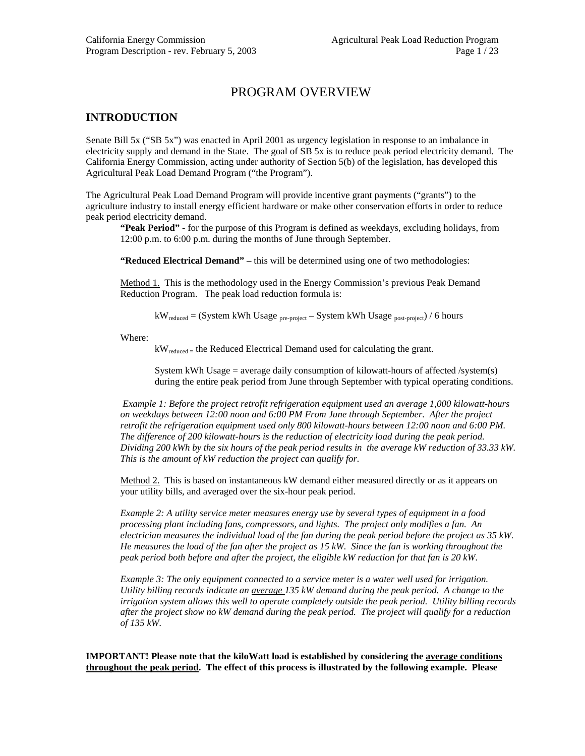# PROGRAM OVERVIEW

### **INTRODUCTION**

Senate Bill 5x ("SB 5x") was enacted in April 2001 as urgency legislation in response to an imbalance in electricity supply and demand in the State. The goal of SB 5x is to reduce peak period electricity demand. The California Energy Commission, acting under authority of Section 5(b) of the legislation, has developed this Agricultural Peak Load Demand Program ("the Program").

The Agricultural Peak Load Demand Program will provide incentive grant payments ("grants") to the agriculture industry to install energy efficient hardware or make other conservation efforts in order to reduce peak period electricity demand.

**"Peak Period"** - for the purpose of this Program is defined as weekdays, excluding holidays, from 12:00 p.m. to 6:00 p.m. during the months of June through September.

**"Reduced Electrical Demand"** – this will be determined using one of two methodologies:

Method 1. This is the methodology used in the Energy Commission's previous Peak Demand Reduction Program. The peak load reduction formula is:

 $kW_{reduced} = (System kWh Usage_{pre-project} - System kWh Usage_{post-project} / 6 hours$ 

Where:

 $kW_{reduced}$  = the Reduced Electrical Demand used for calculating the grant.

System kWh Usage = average daily consumption of kilowatt-hours of affected  $/s$ ystem $(s)$ during the entire peak period from June through September with typical operating conditions.

 *Example 1: Before the project retrofit refrigeration equipment used an average 1,000 kilowatt-hours on weekdays between 12:00 noon and 6:00 PM From June through September. After the project retrofit the refrigeration equipment used only 800 kilowatt-hours between 12:00 noon and 6:00 PM. The difference of 200 kilowatt-hours is the reduction of electricity load during the peak period. Dividing 200 kWh by the six hours of the peak period results in the average kW reduction of 33.33 kW. This is the amount of kW reduction the project can qualify for.* 

Method 2. This is based on instantaneous kW demand either measured directly or as it appears on your utility bills, and averaged over the six-hour peak period.

*Example 2: A utility service meter measures energy use by several types of equipment in a food processing plant including fans, compressors, and lights. The project only modifies a fan. An electrician measures the individual load of the fan during the peak period before the project as 35 kW. He measures the load of the fan after the project as 15 kW. Since the fan is working throughout the peak period both before and after the project, the eligible kW reduction for that fan is 20 kW.* 

*Example 3: The only equipment connected to a service meter is a water well used for irrigation. Utility billing records indicate an average 135 kW demand during the peak period. A change to the irrigation system allows this well to operate completely outside the peak period. Utility billing records after the project show no kW demand during the peak period. The project will qualify for a reduction of 135 kW.* 

**IMPORTANT! Please note that the kiloWatt load is established by considering the average conditions throughout the peak period. The effect of this process is illustrated by the following example. Please**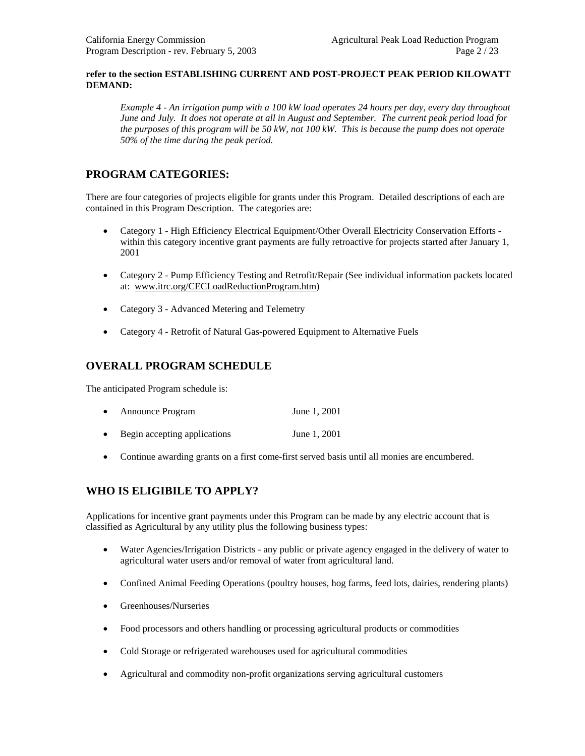#### **refer to the section ESTABLISHING CURRENT AND POST-PROJECT PEAK PERIOD KILOWATT DEMAND:**

*Example 4 - An irrigation pump with a 100 kW load operates 24 hours per day, every day throughout June and July. It does not operate at all in August and September. The current peak period load for the purposes of this program will be 50 kW, not 100 kW. This is because the pump does not operate 50% of the time during the peak period.* 

# **PROGRAM CATEGORIES:**

There are four categories of projects eligible for grants under this Program. Detailed descriptions of each are contained in this Program Description. The categories are:

- Category 1 High Efficiency Electrical Equipment/Other Overall Electricity Conservation Efforts within this category incentive grant payments are fully retroactive for projects started after January 1, 2001
- Category 2 Pump Efficiency Testing and Retrofit/Repair (See individual information packets located at: [www.itrc.org/CECLoadReductionProgram.htm](http://www.itrc.org/CECLoadReductionProgram.htm))
- Category 3 Advanced Metering and Telemetry
- Category 4 Retrofit of Natural Gas-powered Equipment to Alternative Fuels

# **OVERALL PROGRAM SCHEDULE**

The anticipated Program schedule is:

- Announce Program June 1, 2001
- Begin accepting applications June 1, 2001
- Continue awarding grants on a first come-first served basis until all monies are encumbered.

# **WHO IS ELIGIBILE TO APPLY?**

Applications for incentive grant payments under this Program can be made by any electric account that is classified as Agricultural by any utility plus the following business types:

- Water Agencies/Irrigation Districts any public or private agency engaged in the delivery of water to agricultural water users and/or removal of water from agricultural land.
- Confined Animal Feeding Operations (poultry houses, hog farms, feed lots, dairies, rendering plants)
- Greenhouses/Nurseries
- Food processors and others handling or processing agricultural products or commodities
- Cold Storage or refrigerated warehouses used for agricultural commodities
- Agricultural and commodity non-profit organizations serving agricultural customers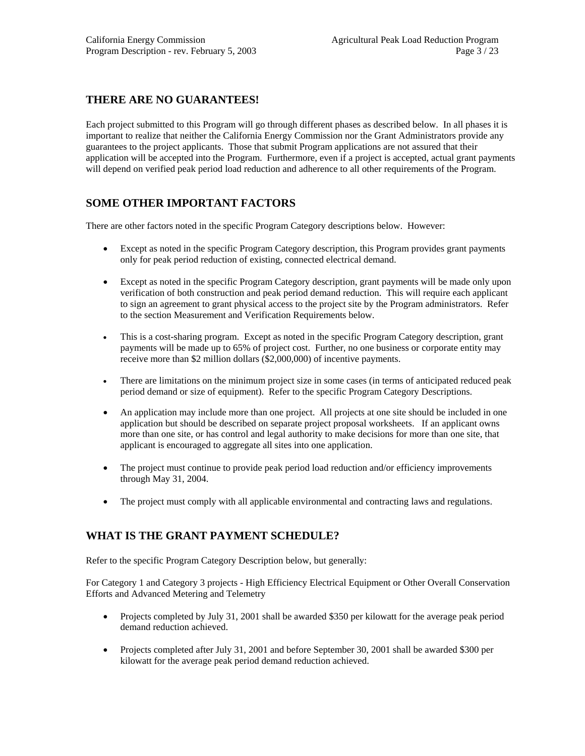# **THERE ARE NO GUARANTEES!**

Each project submitted to this Program will go through different phases as described below. In all phases it is important to realize that neither the California Energy Commission nor the Grant Administrators provide any guarantees to the project applicants. Those that submit Program applications are not assured that their application will be accepted into the Program. Furthermore, even if a project is accepted, actual grant payments will depend on verified peak period load reduction and adherence to all other requirements of the Program.

# **SOME OTHER IMPORTANT FACTORS**

There are other factors noted in the specific Program Category descriptions below. However:

- Except as noted in the specific Program Category description, this Program provides grant payments only for peak period reduction of existing, connected electrical demand.
- Except as noted in the specific Program Category description, grant payments will be made only upon verification of both construction and peak period demand reduction. This will require each applicant to sign an agreement to grant physical access to the project site by the Program administrators. Refer to the section Measurement and Verification Requirements below.
- This is a cost-sharing program. Except as noted in the specific Program Category description, grant payments will be made up to 65% of project cost. Further, no one business or corporate entity may receive more than \$2 million dollars (\$2,000,000) of incentive payments.
- There are limitations on the minimum project size in some cases (in terms of anticipated reduced peak period demand or size of equipment). Refer to the specific Program Category Descriptions.
- An application may include more than one project. All projects at one site should be included in one application but should be described on separate project proposal worksheets. If an applicant owns more than one site, or has control and legal authority to make decisions for more than one site, that applicant is encouraged to aggregate all sites into one application.
- The project must continue to provide peak period load reduction and/or efficiency improvements through May 31, 2004.
- The project must comply with all applicable environmental and contracting laws and regulations.

# **WHAT IS THE GRANT PAYMENT SCHEDULE?**

Refer to the specific Program Category Description below, but generally:

For Category 1 and Category 3 projects - High Efficiency Electrical Equipment or Other Overall Conservation Efforts and Advanced Metering and Telemetry

- Projects completed by July 31, 2001 shall be awarded \$350 per kilowatt for the average peak period demand reduction achieved.
- Projects completed after July 31, 2001 and before September 30, 2001 shall be awarded \$300 per kilowatt for the average peak period demand reduction achieved.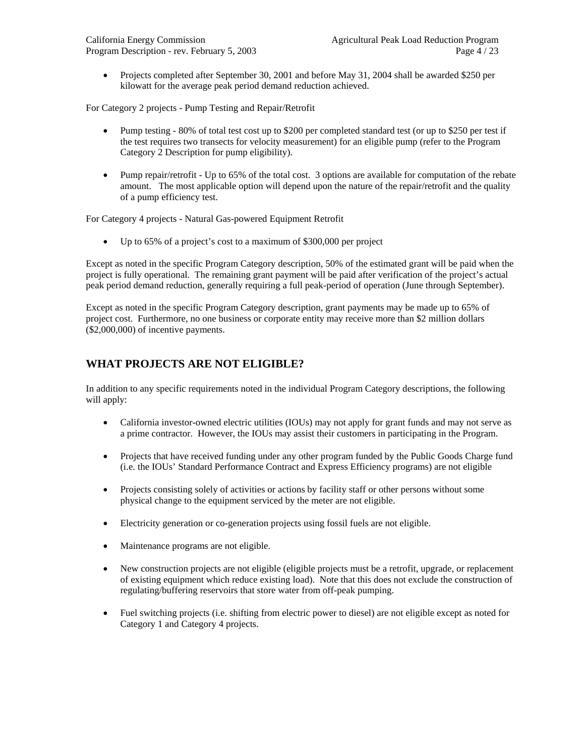• Projects completed after September 30, 2001 and before May 31, 2004 shall be awarded \$250 per kilowatt for the average peak period demand reduction achieved.

For Category 2 projects - Pump Testing and Repair/Retrofit

- Pump testing 80% of total test cost up to \$200 per completed standard test (or up to \$250 per test if the test requires two transects for velocity measurement) for an eligible pump (refer to the Program Category 2 Description for pump eligibility).
- Pump repair/retrofit Up to 65% of the total cost. 3 options are available for computation of the rebate amount. The most applicable option will depend upon the nature of the repair/retrofit and the quality of a pump efficiency test.

For Category 4 projects - Natural Gas-powered Equipment Retrofit

Up to 65% of a project's cost to a maximum of \$300,000 per project

Except as noted in the specific Program Category description, 50% of the estimated grant will be paid when the project is fully operational. The remaining grant payment will be paid after verification of the project's actual peak period demand reduction, generally requiring a full peak-period of operation (June through September).

Except as noted in the specific Program Category description, grant payments may be made up to 65% of project cost. Furthermore, no one business or corporate entity may receive more than \$2 million dollars (\$2,000,000) of incentive payments.

# **WHAT PROJECTS ARE NOT ELIGIBLE?**

In addition to any specific requirements noted in the individual Program Category descriptions, the following will apply:

- California investor-owned electric utilities (IOUs) may not apply for grant funds and may not serve as a prime contractor. However, the IOUs may assist their customers in participating in the Program.
- Projects that have received funding under any other program funded by the Public Goods Charge fund (i.e. the IOUs' Standard Performance Contract and Express Efficiency programs) are not eligible
- Projects consisting solely of activities or actions by facility staff or other persons without some physical change to the equipment serviced by the meter are not eligible.
- Electricity generation or co-generation projects using fossil fuels are not eligible.
- Maintenance programs are not eligible.
- New construction projects are not eligible (eligible projects must be a retrofit, upgrade, or replacement of existing equipment which reduce existing load). Note that this does not exclude the construction of regulating/buffering reservoirs that store water from off-peak pumping.
- Fuel switching projects (i.e. shifting from electric power to diesel) are not eligible except as noted for Category 1 and Category 4 projects.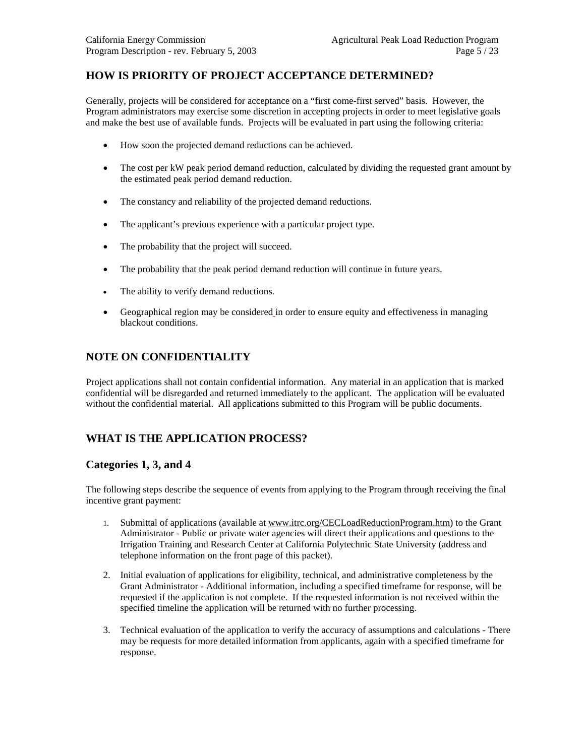# **HOW IS PRIORITY OF PROJECT ACCEPTANCE DETERMINED?**

Generally, projects will be considered for acceptance on a "first come-first served" basis. However, the Program administrators may exercise some discretion in accepting projects in order to meet legislative goals and make the best use of available funds. Projects will be evaluated in part using the following criteria:

- How soon the projected demand reductions can be achieved.
- The cost per kW peak period demand reduction, calculated by dividing the requested grant amount by the estimated peak period demand reduction.
- The constancy and reliability of the projected demand reductions.
- The applicant's previous experience with a particular project type.
- The probability that the project will succeed.
- The probability that the peak period demand reduction will continue in future years.
- The ability to verify demand reductions.
- Geographical region may be considered in order to ensure equity and effectiveness in managing blackout conditions.

# **NOTE ON CONFIDENTIALITY**

Project applications shall not contain confidential information. Any material in an application that is marked confidential will be disregarded and returned immediately to the applicant. The application will be evaluated without the confidential material. All applications submitted to this Program will be public documents.

# **WHAT IS THE APPLICATION PROCESS?**

### **Categories 1, 3, and 4**

The following steps describe the sequence of events from applying to the Program through receiving the final incentive grant payment:

- 1. Submittal of applications (available at [www.itrc.org/CECLoadReductionProgram.htm](http://www.itrc.org/CECLoadReductionProgram.htm)) to the Grant Administrator - Public or private water agencies will direct their applications and questions to the Irrigation Training and Research Center at California Polytechnic State University (address and telephone information on the front page of this packet).
- 2. Initial evaluation of applications for eligibility, technical, and administrative completeness by the Grant Administrator - Additional information, including a specified timeframe for response, will be requested if the application is not complete. If the requested information is not received within the specified timeline the application will be returned with no further processing.
- 3. Technical evaluation of the application to verify the accuracy of assumptions and calculations There may be requests for more detailed information from applicants, again with a specified timeframe for response.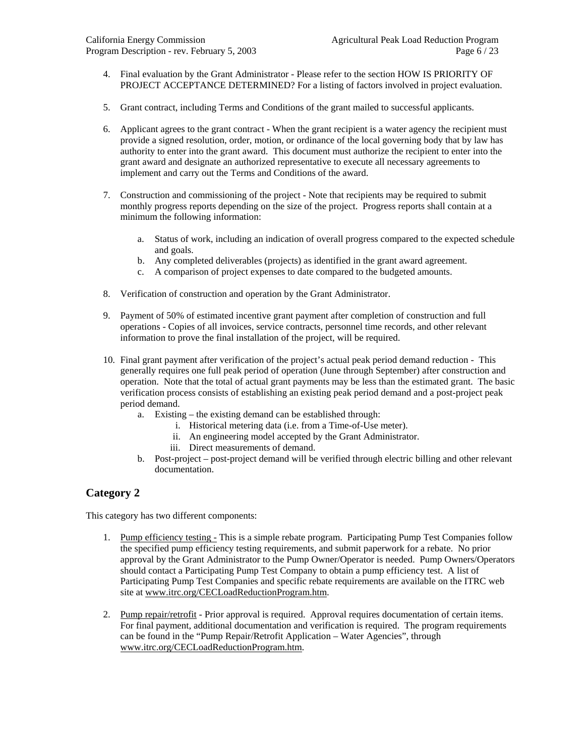- 4. Final evaluation by the Grant Administrator Please refer to the section HOW IS PRIORITY OF PROJECT ACCEPTANCE DETERMINED? For a listing of factors involved in project evaluation.
- 5. Grant contract, including Terms and Conditions of the grant mailed to successful applicants.
- 6. Applicant agrees to the grant contract When the grant recipient is a water agency the recipient must provide a signed resolution, order, motion, or ordinance of the local governing body that by law has authority to enter into the grant award. This document must authorize the recipient to enter into the grant award and designate an authorized representative to execute all necessary agreements to implement and carry out the Terms and Conditions of the award.
- 7. Construction and commissioning of the project Note that recipients may be required to submit monthly progress reports depending on the size of the project. Progress reports shall contain at a minimum the following information:
	- a. Status of work, including an indication of overall progress compared to the expected schedule and goals.
	- b. Any completed deliverables (projects) as identified in the grant award agreement.
	- c. A comparison of project expenses to date compared to the budgeted amounts.
- 8. Verification of construction and operation by the Grant Administrator.
- 9. Payment of 50% of estimated incentive grant payment after completion of construction and full operations - Copies of all invoices, service contracts, personnel time records, and other relevant information to prove the final installation of the project, will be required.
- 10. Final grant payment after verification of the project's actual peak period demand reduction This generally requires one full peak period of operation (June through September) after construction and operation. Note that the total of actual grant payments may be less than the estimated grant. The basic verification process consists of establishing an existing peak period demand and a post-project peak period demand.
	- a. Existing the existing demand can be established through:
		- i. Historical metering data (i.e. from a Time-of-Use meter).
		- ii. An engineering model accepted by the Grant Administrator.
		- iii. Direct measurements of demand.
	- b. Post-project post-project demand will be verified through electric billing and other relevant documentation.

### **Category 2**

This category has two different components:

- 1. Pump efficiency testing This is a simple rebate program. Participating Pump Test Companies follow the specified pump efficiency testing requirements, and submit paperwork for a rebate. No prior approval by the Grant Administrator to the Pump Owner/Operator is needed. Pump Owners/Operators should contact a Participating Pump Test Company to obtain a pump efficiency test. A list of Participating Pump Test Companies and specific rebate requirements are available on the ITRC web site at [www.itrc.org/CECLoadReductionProgram.htm](http://www.itrc.org/CECLoadReductionProgram.htm).
- 2. Pump repair/retrofit Prior approval is required. Approval requires documentation of certain items. For final payment, additional documentation and verification is required. The program requirements can be found in the "Pump Repair/Retrofit Application – Water Agencies", through [www.itrc.org/CECLoadReductionProgram.htm](http://www.itrc.org/CECLoadReductionProgram.htm).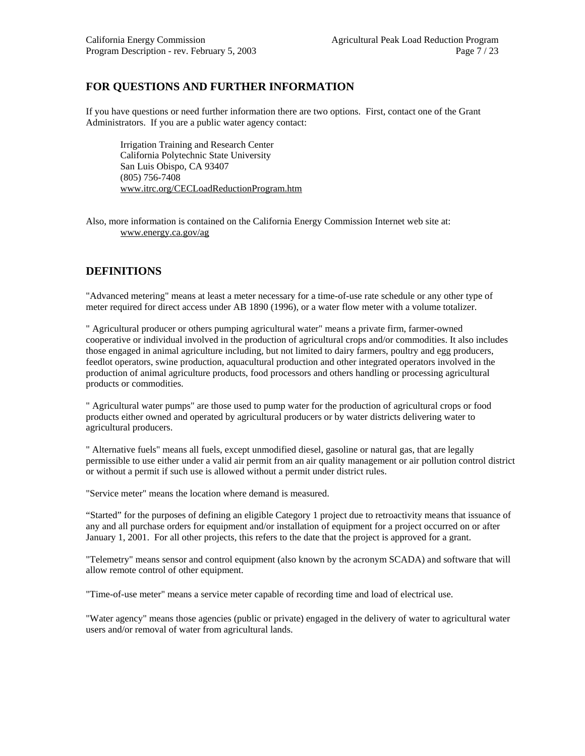# **FOR QUESTIONS AND FURTHER INFORMATION**

If you have questions or need further information there are two options. First, contact one of the Grant Administrators. If you are a public water agency contact:

Irrigation Training and Research Center California Polytechnic State University San Luis Obispo, CA 93407 (805) 756-7408 [www.itrc.org/CECLoadReductionProgram.htm](http://www.itrc.org/CECLoadReductionProgram.htm)

Also, more information is contained on the California Energy Commission Internet web site at: www.energy.ca.gov/ag

# **DEFINITIONS**

"Advanced metering" means at least a meter necessary for a time-of-use rate schedule or any other type of meter required for direct access under AB 1890 (1996), or a water flow meter with a volume totalizer.

" Agricultural producer or others pumping agricultural water" means a private firm, farmer-owned cooperative or individual involved in the production of agricultural crops and/or commodities. It also includes those engaged in animal agriculture including, but not limited to dairy farmers, poultry and egg producers, feedlot operators, swine production, aquacultural production and other integrated operators involved in the production of animal agriculture products, food processors and others handling or processing agricultural products or commodities.

" Agricultural water pumps" are those used to pump water for the production of agricultural crops or food products either owned and operated by agricultural producers or by water districts delivering water to agricultural producers.

" Alternative fuels" means all fuels, except unmodified diesel, gasoline or natural gas, that are legally permissible to use either under a valid air permit from an air quality management or air pollution control district or without a permit if such use is allowed without a permit under district rules.

"Service meter" means the location where demand is measured.

"Started" for the purposes of defining an eligible Category 1 project due to retroactivity means that issuance of any and all purchase orders for equipment and/or installation of equipment for a project occurred on or after January 1, 2001. For all other projects, this refers to the date that the project is approved for a grant.

"Telemetry" means sensor and control equipment (also known by the acronym SCADA) and software that will allow remote control of other equipment.

"Time-of-use meter" means a service meter capable of recording time and load of electrical use.

"Water agency" means those agencies (public or private) engaged in the delivery of water to agricultural water users and/or removal of water from agricultural lands.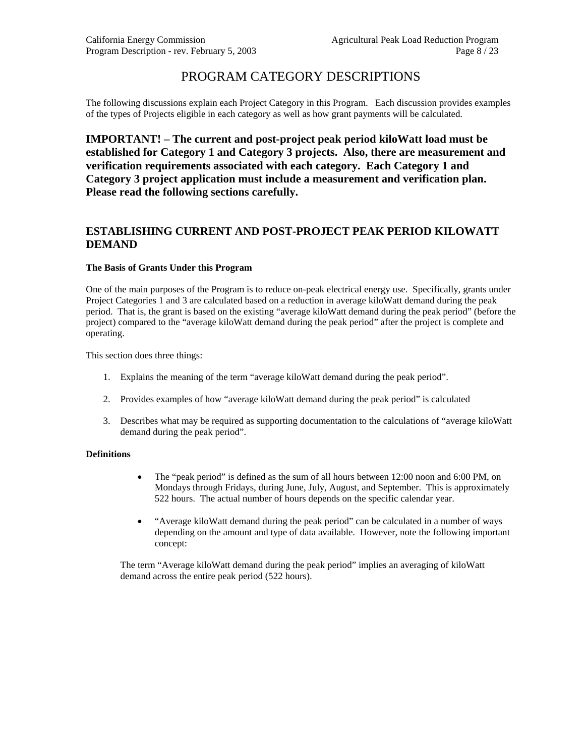# PROGRAM CATEGORY DESCRIPTIONS

The following discussions explain each Project Category in this Program. Each discussion provides examples of the types of Projects eligible in each category as well as how grant payments will be calculated.

**IMPORTANT! – The current and post-project peak period kiloWatt load must be established for Category 1 and Category 3 projects. Also, there are measurement and verification requirements associated with each category. Each Category 1 and Category 3 project application must include a measurement and verification plan. Please read the following sections carefully.** 

### **ESTABLISHING CURRENT AND POST-PROJECT PEAK PERIOD KILOWATT DEMAND**

#### **The Basis of Grants Under this Program**

One of the main purposes of the Program is to reduce on-peak electrical energy use. Specifically, grants under Project Categories 1 and 3 are calculated based on a reduction in average kiloWatt demand during the peak period. That is, the grant is based on the existing "average kiloWatt demand during the peak period" (before the project) compared to the "average kiloWatt demand during the peak period" after the project is complete and operating.

This section does three things:

- 1. Explains the meaning of the term "average kiloWatt demand during the peak period".
- 2. Provides examples of how "average kiloWatt demand during the peak period" is calculated
- 3. Describes what may be required as supporting documentation to the calculations of "average kiloWatt demand during the peak period".

#### **Definitions**

- The "peak period" is defined as the sum of all hours between 12:00 noon and 6:00 PM, on Mondays through Fridays, during June, July, August, and September. This is approximately 522 hours. The actual number of hours depends on the specific calendar year.
- "Average kiloWatt demand during the peak period" can be calculated in a number of ways depending on the amount and type of data available. However, note the following important concept:

The term "Average kiloWatt demand during the peak period" implies an averaging of kiloWatt demand across the entire peak period (522 hours).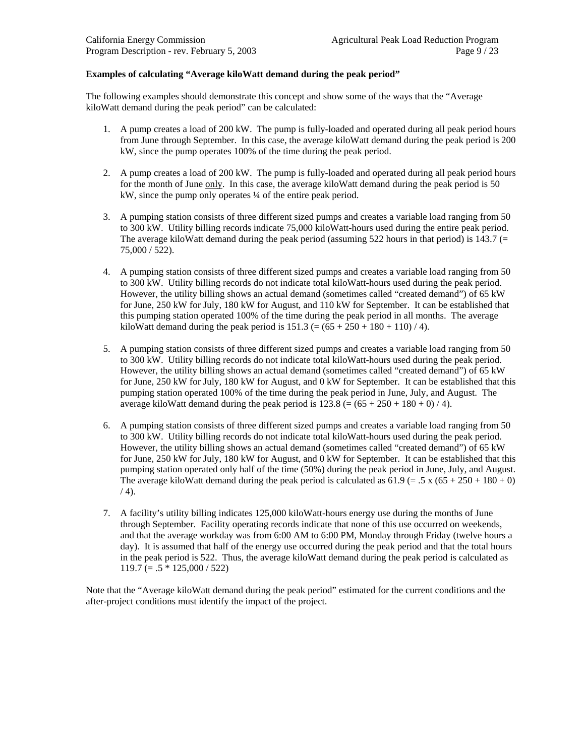#### **Examples of calculating "Average kiloWatt demand during the peak period"**

The following examples should demonstrate this concept and show some of the ways that the "Average kiloWatt demand during the peak period" can be calculated:

- 1. A pump creates a load of 200 kW. The pump is fully-loaded and operated during all peak period hours from June through September. In this case, the average kiloWatt demand during the peak period is 200 kW, since the pump operates 100% of the time during the peak period.
- 2. A pump creates a load of 200 kW. The pump is fully-loaded and operated during all peak period hours for the month of June only. In this case, the average kiloWatt demand during the peak period is 50 kW, since the pump only operates  $\frac{1}{4}$  of the entire peak period.
- 3. A pumping station consists of three different sized pumps and creates a variable load ranging from 50 to 300 kW. Utility billing records indicate 75,000 kiloWatt-hours used during the entire peak period. The average kiloWatt demand during the peak period (assuming 522 hours in that period) is 143.7 (= 75,000 / 522).
- 4. A pumping station consists of three different sized pumps and creates a variable load ranging from 50 to 300 kW. Utility billing records do not indicate total kiloWatt-hours used during the peak period. However, the utility billing shows an actual demand (sometimes called "created demand") of 65 kW for June, 250 kW for July, 180 kW for August, and 110 kW for September. It can be established that this pumping station operated 100% of the time during the peak period in all months. The average kiloWatt demand during the peak period is  $151.3 (= (65 + 250 + 180 + 110) / 4)$ .
- 5. A pumping station consists of three different sized pumps and creates a variable load ranging from 50 to 300 kW. Utility billing records do not indicate total kiloWatt-hours used during the peak period. However, the utility billing shows an actual demand (sometimes called "created demand") of 65 kW for June, 250 kW for July, 180 kW for August, and 0 kW for September. It can be established that this pumping station operated 100% of the time during the peak period in June, July, and August. The average kiloWatt demand during the peak period is  $123.8 (= (65 + 250 + 180 + 0) / 4)$ .
- 6. A pumping station consists of three different sized pumps and creates a variable load ranging from 50 to 300 kW. Utility billing records do not indicate total kiloWatt-hours used during the peak period. However, the utility billing shows an actual demand (sometimes called "created demand") of 65 kW for June, 250 kW for July, 180 kW for August, and 0 kW for September. It can be established that this pumping station operated only half of the time (50%) during the peak period in June, July, and August. The average kiloWatt demand during the peak period is calculated as  $61.9 (= 0.5 \times 0.65 + 250 + 180 + 0)$  $(4)$ .
- 7. A facility's utility billing indicates 125,000 kiloWatt-hours energy use during the months of June through September. Facility operating records indicate that none of this use occurred on weekends, and that the average workday was from 6:00 AM to 6:00 PM, Monday through Friday (twelve hours a day). It is assumed that half of the energy use occurred during the peak period and that the total hours in the peak period is 522. Thus, the average kiloWatt demand during the peak period is calculated as  $119.7 (= .5 * 125,000 / 522)$

Note that the "Average kiloWatt demand during the peak period" estimated for the current conditions and the after-project conditions must identify the impact of the project.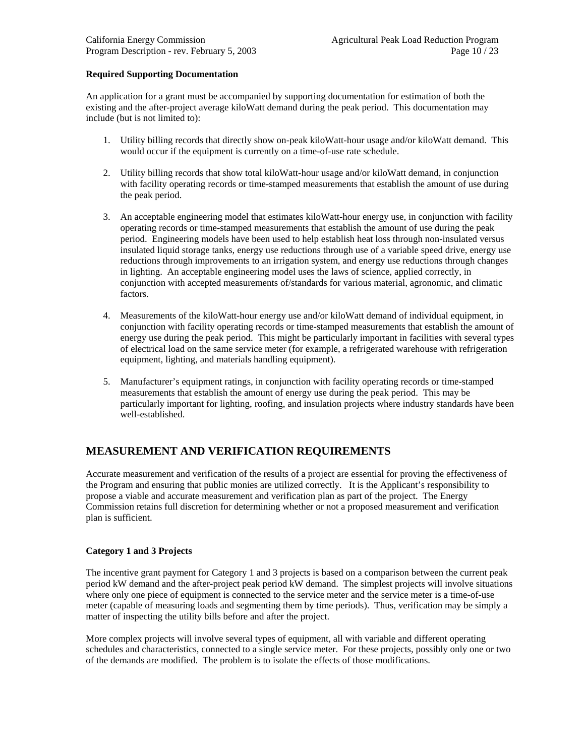#### **Required Supporting Documentation**

An application for a grant must be accompanied by supporting documentation for estimation of both the existing and the after-project average kiloWatt demand during the peak period. This documentation may include (but is not limited to):

- 1. Utility billing records that directly show on-peak kiloWatt-hour usage and/or kiloWatt demand. This would occur if the equipment is currently on a time-of-use rate schedule.
- 2. Utility billing records that show total kiloWatt-hour usage and/or kiloWatt demand, in conjunction with facility operating records or time-stamped measurements that establish the amount of use during the peak period.
- 3. An acceptable engineering model that estimates kiloWatt-hour energy use, in conjunction with facility operating records or time-stamped measurements that establish the amount of use during the peak period. Engineering models have been used to help establish heat loss through non-insulated versus insulated liquid storage tanks, energy use reductions through use of a variable speed drive, energy use reductions through improvements to an irrigation system, and energy use reductions through changes in lighting. An acceptable engineering model uses the laws of science, applied correctly, in conjunction with accepted measurements of/standards for various material, agronomic, and climatic factors.
- 4. Measurements of the kiloWatt-hour energy use and/or kiloWatt demand of individual equipment, in conjunction with facility operating records or time-stamped measurements that establish the amount of energy use during the peak period. This might be particularly important in facilities with several types of electrical load on the same service meter (for example, a refrigerated warehouse with refrigeration equipment, lighting, and materials handling equipment).
- 5. Manufacturer's equipment ratings, in conjunction with facility operating records or time-stamped measurements that establish the amount of energy use during the peak period. This may be particularly important for lighting, roofing, and insulation projects where industry standards have been well-established.

# **MEASUREMENT AND VERIFICATION REQUIREMENTS**

Accurate measurement and verification of the results of a project are essential for proving the effectiveness of the Program and ensuring that public monies are utilized correctly. It is the Applicant's responsibility to propose a viable and accurate measurement and verification plan as part of the project. The Energy Commission retains full discretion for determining whether or not a proposed measurement and verification plan is sufficient.

#### **Category 1 and 3 Projects**

The incentive grant payment for Category 1 and 3 projects is based on a comparison between the current peak period kW demand and the after-project peak period kW demand. The simplest projects will involve situations where only one piece of equipment is connected to the service meter and the service meter is a time-of-use meter (capable of measuring loads and segmenting them by time periods). Thus, verification may be simply a matter of inspecting the utility bills before and after the project.

More complex projects will involve several types of equipment, all with variable and different operating schedules and characteristics, connected to a single service meter. For these projects, possibly only one or two of the demands are modified. The problem is to isolate the effects of those modifications.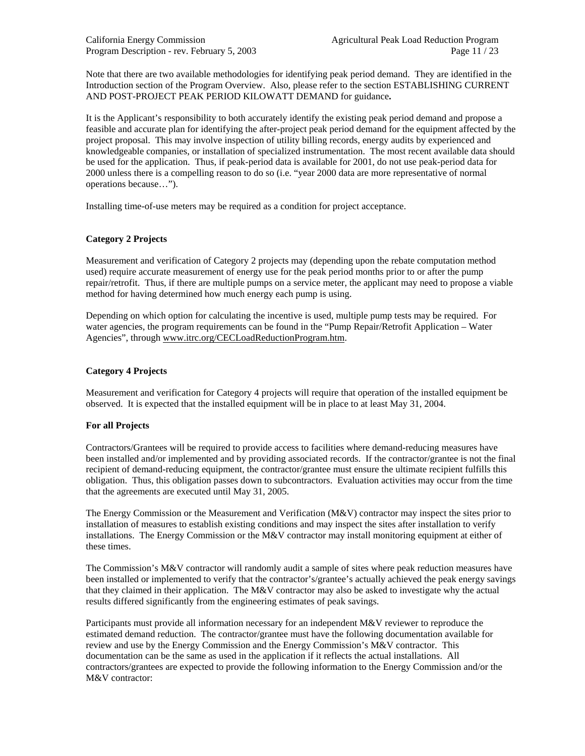California Energy Commission Agricultural Peak Load Reduction Program Program Description - rev. February 5, 2003 Page 11 / 23

Note that there are two available methodologies for identifying peak period demand. They are identified in the Introduction section of the Program Overview. Also, please refer to the section ESTABLISHING CURRENT AND POST-PROJECT PEAK PERIOD KILOWATT DEMAND for guidance**.**

It is the Applicant's responsibility to both accurately identify the existing peak period demand and propose a feasible and accurate plan for identifying the after-project peak period demand for the equipment affected by the project proposal. This may involve inspection of utility billing records, energy audits by experienced and knowledgeable companies, or installation of specialized instrumentation. The most recent available data should be used for the application. Thus, if peak-period data is available for 2001, do not use peak-period data for 2000 unless there is a compelling reason to do so (i.e. "year 2000 data are more representative of normal operations because…").

Installing time-of-use meters may be required as a condition for project acceptance.

#### **Category 2 Projects**

Measurement and verification of Category 2 projects may (depending upon the rebate computation method used) require accurate measurement of energy use for the peak period months prior to or after the pump repair/retrofit. Thus, if there are multiple pumps on a service meter, the applicant may need to propose a viable method for having determined how much energy each pump is using.

Depending on which option for calculating the incentive is used, multiple pump tests may be required. For water agencies, the program requirements can be found in the "Pump Repair/Retrofit Application – Water Agencies", through [www.itrc.org/CECLoadReductionProgram.htm.](http://www.itrc.org/CECLoadReductionProgram.htm)

#### **Category 4 Projects**

Measurement and verification for Category 4 projects will require that operation of the installed equipment be observed. It is expected that the installed equipment will be in place to at least May 31, 2004.

#### **For all Projects**

Contractors/Grantees will be required to provide access to facilities where demand-reducing measures have been installed and/or implemented and by providing associated records. If the contractor/grantee is not the final recipient of demand-reducing equipment, the contractor/grantee must ensure the ultimate recipient fulfills this obligation. Thus, this obligation passes down to subcontractors. Evaluation activities may occur from the time that the agreements are executed until May 31, 2005.

The Energy Commission or the Measurement and Verification (M&V) contractor may inspect the sites prior to installation of measures to establish existing conditions and may inspect the sites after installation to verify installations. The Energy Commission or the M&V contractor may install monitoring equipment at either of these times.

The Commission's M&V contractor will randomly audit a sample of sites where peak reduction measures have been installed or implemented to verify that the contractor's/grantee's actually achieved the peak energy savings that they claimed in their application. The  $M&V$  contractor may also be asked to investigate why the actual results differed significantly from the engineering estimates of peak savings.

Participants must provide all information necessary for an independent M&V reviewer to reproduce the estimated demand reduction. The contractor/grantee must have the following documentation available for review and use by the Energy Commission and the Energy Commission's M&V contractor. This documentation can be the same as used in the application if it reflects the actual installations. All contractors/grantees are expected to provide the following information to the Energy Commission and/or the M&V contractor: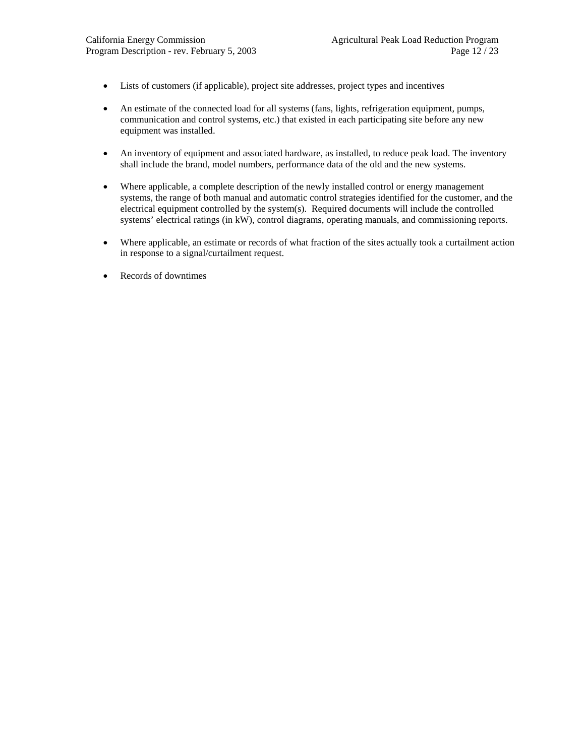- Lists of customers (if applicable), project site addresses, project types and incentives
- An estimate of the connected load for all systems (fans, lights, refrigeration equipment, pumps, communication and control systems, etc.) that existed in each participating site before any new equipment was installed.
- An inventory of equipment and associated hardware, as installed, to reduce peak load. The inventory shall include the brand, model numbers, performance data of the old and the new systems.
- Where applicable, a complete description of the newly installed control or energy management systems, the range of both manual and automatic control strategies identified for the customer, and the electrical equipment controlled by the system(s). Required documents will include the controlled systems' electrical ratings (in kW), control diagrams, operating manuals, and commissioning reports.
- Where applicable, an estimate or records of what fraction of the sites actually took a curtailment action in response to a signal/curtailment request.
- Records of downtimes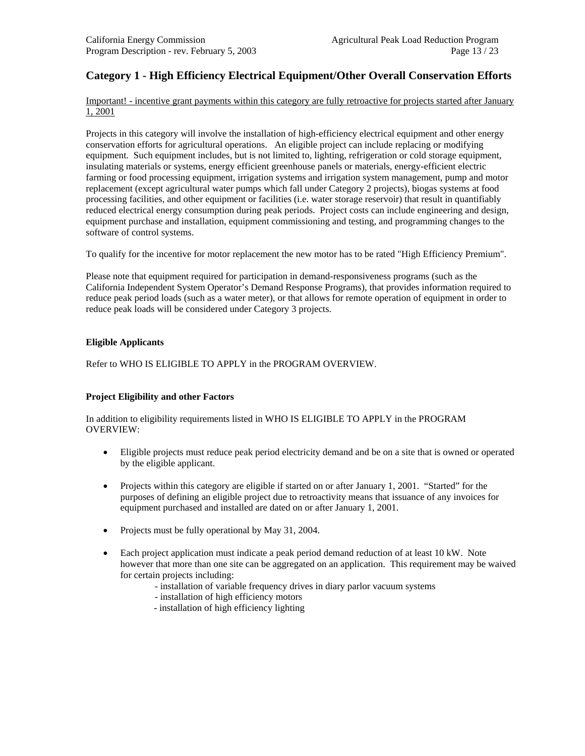# **Category 1 - High Efficiency Electrical Equipment/Other Overall Conservation Efforts**

Important! - incentive grant payments within this category are fully retroactive for projects started after January 1, 2001

Projects in this category will involve the installation of high-efficiency electrical equipment and other energy conservation efforts for agricultural operations. An eligible project can include replacing or modifying equipment. Such equipment includes, but is not limited to, lighting, refrigeration or cold storage equipment, insulating materials or systems, energy efficient greenhouse panels or materials, energy-efficient electric farming or food processing equipment, irrigation systems and irrigation system management, pump and motor replacement (except agricultural water pumps which fall under Category 2 projects), biogas systems at food processing facilities, and other equipment or facilities (i.e. water storage reservoir) that result in quantifiably reduced electrical energy consumption during peak periods. Project costs can include engineering and design, equipment purchase and installation, equipment commissioning and testing, and programming changes to the software of control systems.

To qualify for the incentive for motor replacement the new motor has to be rated "High Efficiency Premium".

Please note that equipment required for participation in demand-responsiveness programs (such as the California Independent System Operator's Demand Response Programs), that provides information required to reduce peak period loads (such as a water meter), or that allows for remote operation of equipment in order to reduce peak loads will be considered under Category 3 projects.

#### **Eligible Applicants**

Refer to WHO IS ELIGIBLE TO APPLY in the PROGRAM OVERVIEW.

#### **Project Eligibility and other Factors**

In addition to eligibility requirements listed in WHO IS ELIGIBLE TO APPLY in the PROGRAM OVERVIEW:

- Eligible projects must reduce peak period electricity demand and be on a site that is owned or operated by the eligible applicant.
- Projects within this category are eligible if started on or after January 1, 2001. "Started" for the purposes of defining an eligible project due to retroactivity means that issuance of any invoices for equipment purchased and installed are dated on or after January 1, 2001.
- Projects must be fully operational by May 31, 2004.
- Each project application must indicate a peak period demand reduction of at least 10 kW. Note however that more than one site can be aggregated on an application. This requirement may be waived for certain projects including:
	- installation of variable frequency drives in diary parlor vacuum systems
	- installation of high efficiency motors
	- installation of high efficiency lighting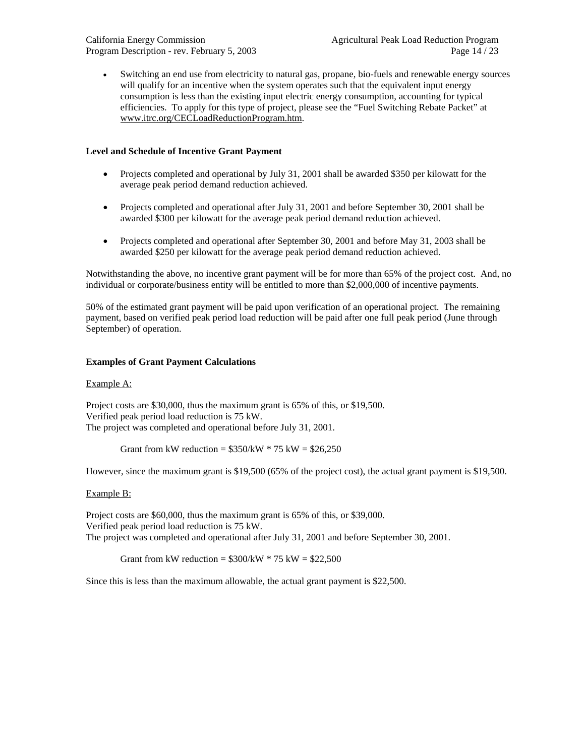California Energy Commission Agricultural Peak Load Reduction Program Program Description - rev. February 5, 2003 Page 14 / 23

• Switching an end use from electricity to natural gas, propane, bio-fuels and renewable energy sources will qualify for an incentive when the system operates such that the equivalent input energy consumption is less than the existing input electric energy consumption, accounting for typical efficiencies. To apply for this type of project, please see the "Fuel Switching Rebate Packet" at [www.itrc.org/CECLoadReductionProgram.htm](http://www.itrc.org/CECLoadReductionProgram.htm).

#### **Level and Schedule of Incentive Grant Payment**

- Projects completed and operational by July 31, 2001 shall be awarded \$350 per kilowatt for the average peak period demand reduction achieved.
- Projects completed and operational after July 31, 2001 and before September 30, 2001 shall be awarded \$300 per kilowatt for the average peak period demand reduction achieved.
- Projects completed and operational after September 30, 2001 and before May 31, 2003 shall be awarded \$250 per kilowatt for the average peak period demand reduction achieved.

Notwithstanding the above, no incentive grant payment will be for more than 65% of the project cost. And, no individual or corporate/business entity will be entitled to more than \$2,000,000 of incentive payments.

50% of the estimated grant payment will be paid upon verification of an operational project. The remaining payment, based on verified peak period load reduction will be paid after one full peak period (June through September) of operation.

#### **Examples of Grant Payment Calculations**

#### Example A:

Project costs are \$30,000, thus the maximum grant is 65% of this, or \$19,500. Verified peak period load reduction is 75 kW. The project was completed and operational before July 31, 2001.

Grant from kW reduction =  $$350/kW * 75 kW = $26,250$ 

However, since the maximum grant is \$19,500 (65% of the project cost), the actual grant payment is \$19,500.

#### Example B:

Project costs are \$60,000, thus the maximum grant is 65% of this, or \$39,000. Verified peak period load reduction is 75 kW. The project was completed and operational after July 31, 2001 and before September 30, 2001.

Grant from kW reduction =  $$300/kW * 75 kW = $22,500$ 

Since this is less than the maximum allowable, the actual grant payment is \$22,500.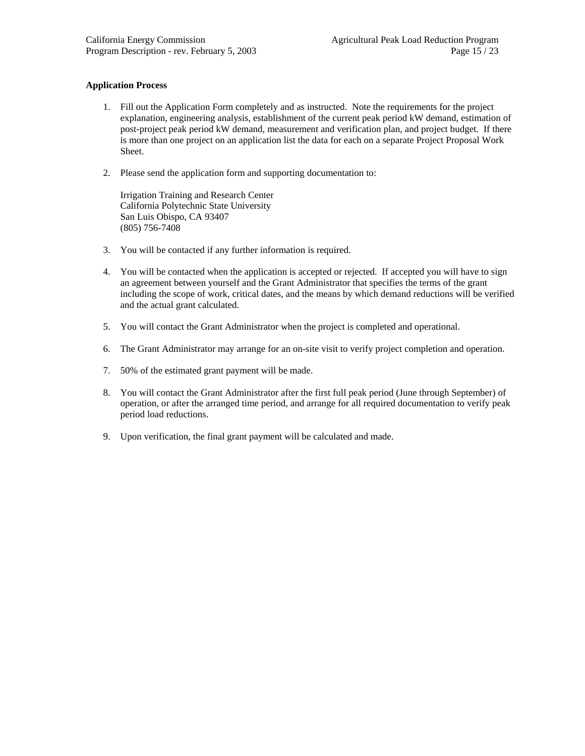#### **Application Process**

- 1. Fill out the Application Form completely and as instructed. Note the requirements for the project explanation, engineering analysis, establishment of the current peak period kW demand, estimation of post-project peak period kW demand, measurement and verification plan, and project budget. If there is more than one project on an application list the data for each on a separate Project Proposal Work Sheet.
- 2. Please send the application form and supporting documentation to:

Irrigation Training and Research Center California Polytechnic State University San Luis Obispo, CA 93407 (805) 756-7408

- 3. You will be contacted if any further information is required.
- 4. You will be contacted when the application is accepted or rejected. If accepted you will have to sign an agreement between yourself and the Grant Administrator that specifies the terms of the grant including the scope of work, critical dates, and the means by which demand reductions will be verified and the actual grant calculated.
- 5. You will contact the Grant Administrator when the project is completed and operational.
- 6. The Grant Administrator may arrange for an on-site visit to verify project completion and operation.
- 7. 50% of the estimated grant payment will be made.
- 8. You will contact the Grant Administrator after the first full peak period (June through September) of operation, or after the arranged time period, and arrange for all required documentation to verify peak period load reductions.
- 9. Upon verification, the final grant payment will be calculated and made.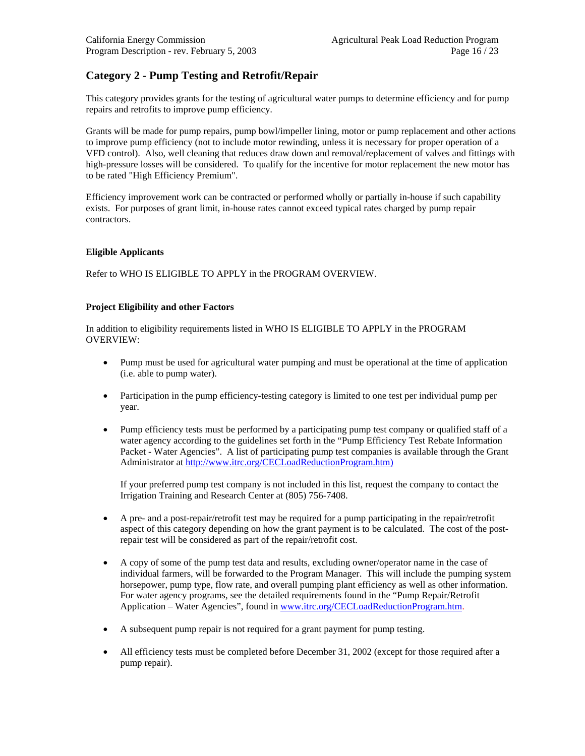# **Category 2 - Pump Testing and Retrofit/Repair**

This category provides grants for the testing of agricultural water pumps to determine efficiency and for pump repairs and retrofits to improve pump efficiency.

Grants will be made for pump repairs, pump bowl/impeller lining, motor or pump replacement and other actions to improve pump efficiency (not to include motor rewinding, unless it is necessary for proper operation of a VFD control). Also, well cleaning that reduces draw down and removal/replacement of valves and fittings with high-pressure losses will be considered. To qualify for the incentive for motor replacement the new motor has to be rated "High Efficiency Premium".

Efficiency improvement work can be contracted or performed wholly or partially in-house if such capability exists. For purposes of grant limit, in-house rates cannot exceed typical rates charged by pump repair contractors.

#### **Eligible Applicants**

Refer to WHO IS ELIGIBLE TO APPLY in the PROGRAM OVERVIEW.

#### **Project Eligibility and other Factors**

In addition to eligibility requirements listed in WHO IS ELIGIBLE TO APPLY in the PROGRAM OVERVIEW:

- Pump must be used for agricultural water pumping and must be operational at the time of application (i.e. able to pump water).
- Participation in the pump efficiency-testing category is limited to one test per individual pump per year.
- Pump efficiency tests must be performed by a participating pump test company or qualified staff of a water agency according to the guidelines set forth in the "Pump Efficiency Test Rebate Information Packet - Water Agencies". A list of participating pump test companies is available through the Grant Administrator at http:/[/www.itrc.org/CECLoadReductionProgram.htm\)](http://www.itrc.org/CECLoadReductionProgram.htm)

If your preferred pump test company is not included in this list, request the company to contact the Irrigation Training and Research Center at (805) 756-7408.

- A pre- and a post-repair/retrofit test may be required for a pump participating in the repair/retrofit aspect of this category depending on how the grant payment is to be calculated. The cost of the postrepair test will be considered as part of the repair/retrofit cost.
- A copy of some of the pump test data and results, excluding owner/operator name in the case of individual farmers, will be forwarded to the Program Manager. This will include the pumping system horsepower, pump type, flow rate, and overall pumping plant efficiency as well as other information. For water agency programs, see the detailed requirements found in the "Pump Repair/Retrofit Application – Water Agencies", found in [www.itrc.org/CECLoadReductionProgram.htm.](http://www.itrc.org/CECLoadReductionProgram.htm)
- A subsequent pump repair is not required for a grant payment for pump testing.
- All efficiency tests must be completed before December 31, 2002 (except for those required after a pump repair).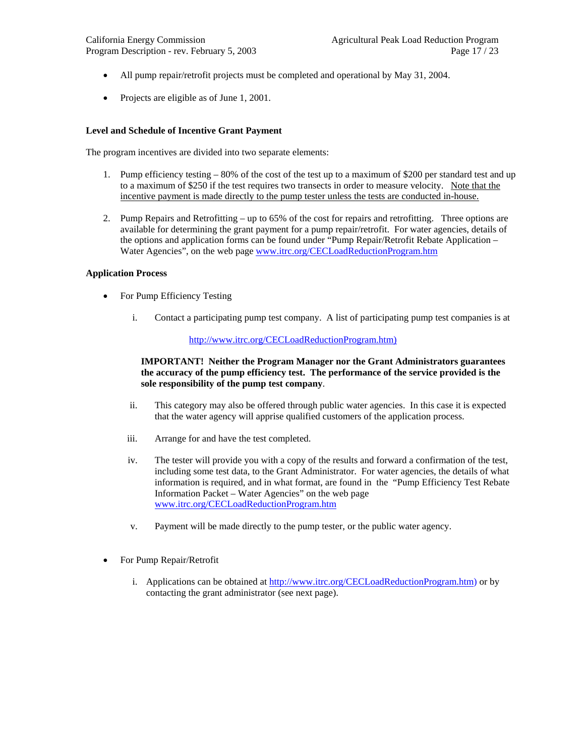- All pump repair/retrofit projects must be completed and operational by May 31, 2004.
- Projects are eligible as of June 1, 2001.

#### **Level and Schedule of Incentive Grant Payment**

The program incentives are divided into two separate elements:

- 1. Pump efficiency testing 80% of the cost of the test up to a maximum of \$200 per standard test and up to a maximum of \$250 if the test requires two transects in order to measure velocity. Note that the incentive payment is made directly to the pump tester unless the tests are conducted in-house.
- 2. Pump Repairs and Retrofitting up to 65% of the cost for repairs and retrofitting. Three options are available for determining the grant payment for a pump repair/retrofit. For water agencies, details of the options and application forms can be found under "Pump Repair/Retrofit Rebate Application – Water Agencies", on the web page [www.itrc.org/CECLoadReductionProgram.htm](http://www.itrc.org/CECLoadReductionProgram.htm)

#### **Application Process**

- For Pump Efficiency Testing
	- i. Contact a participating pump test company. A list of participating pump test companies is at

#### http://[www.itrc.org/CECLoadReductionProgram.htm](http://www.itrc.org/CECLoadReductionProgram.htm))

#### **IMPORTANT! Neither the Program Manager nor the Grant Administrators guarantees the accuracy of the pump efficiency test. The performance of the service provided is the sole responsibility of the pump test company**.

- ii. This category may also be offered through public water agencies. In this case it is expected that the water agency will apprise qualified customers of the application process.
- iii. Arrange for and have the test completed.
- iv. The tester will provide you with a copy of the results and forward a confirmation of the test, including some test data, to the Grant Administrator. For water agencies, the details of what information is required, and in what format, are found in the "Pump Efficiency Test Rebate Information Packet – Water Agencies" on the web page [www.itrc.org/CECLoadReductionProgram.htm](http://www.itrc.org/CECLoadReductionProgram.htm)
- v. Payment will be made directly to the pump tester, or the public water agency.
- For Pump Repair/Retrofit
	- i. Applications can be obtained at http://[www.itrc.org/CECLoadReductionProgram.htm](http://www.itrc.org/CECLoadReductionProgram.htm)) or by contacting the grant administrator (see next page).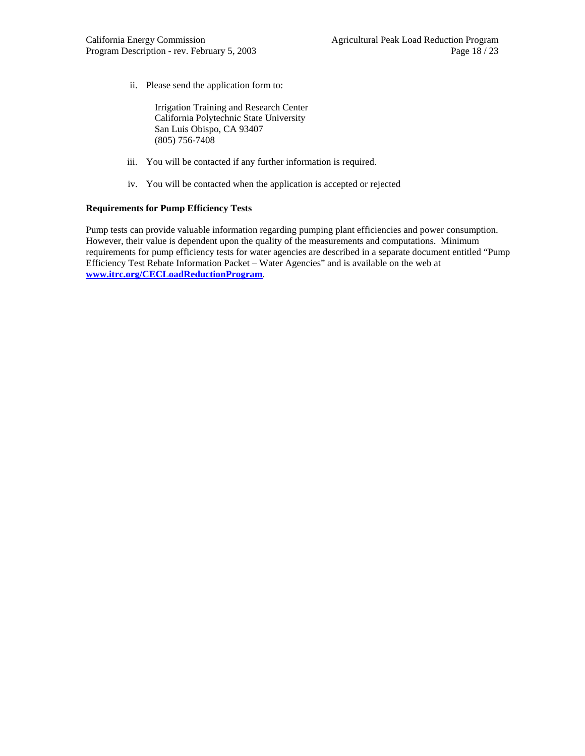ii. Please send the application form to:

Irrigation Training and Research Center California Polytechnic State University San Luis Obispo, CA 93407 (805) 756-7408

- iii. You will be contacted if any further information is required.
- iv. You will be contacted when the application is accepted or rejected

#### **Requirements for Pump Efficiency Tests**

Pump tests can provide valuable information regarding pumping plant efficiencies and power consumption. However, their value is dependent upon the quality of the measurements and computations. Minimum requirements for pump efficiency tests for water agencies are described in a separate document entitled "Pump Efficiency Test Rebate Information Packet – Water Agencies" and is available on the web at **[www.itrc.org/CECLoadReductionProgram](http://www.itrc.org/CECLoadReductionProgram)**.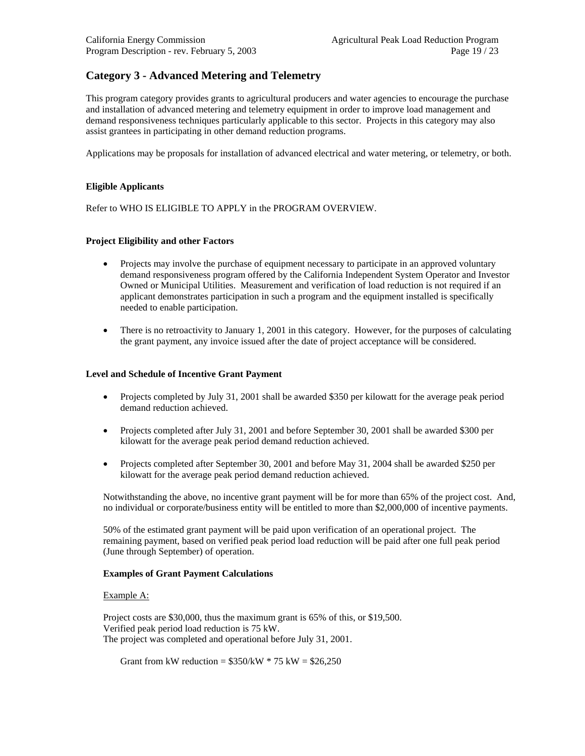# **Category 3 - Advanced Metering and Telemetry**

This program category provides grants to agricultural producers and water agencies to encourage the purchase and installation of advanced metering and telemetry equipment in order to improve load management and demand responsiveness techniques particularly applicable to this sector. Projects in this category may also assist grantees in participating in other demand reduction programs.

Applications may be proposals for installation of advanced electrical and water metering, or telemetry, or both.

#### **Eligible Applicants**

Refer to WHO IS ELIGIBLE TO APPLY in the PROGRAM OVERVIEW.

#### **Project Eligibility and other Factors**

- Projects may involve the purchase of equipment necessary to participate in an approved voluntary demand responsiveness program offered by the California Independent System Operator and Investor Owned or Municipal Utilities. Measurement and verification of load reduction is not required if an applicant demonstrates participation in such a program and the equipment installed is specifically needed to enable participation.
- There is no retroactivity to January 1, 2001 in this category. However, for the purposes of calculating the grant payment, any invoice issued after the date of project acceptance will be considered.

#### **Level and Schedule of Incentive Grant Payment**

- Projects completed by July 31, 2001 shall be awarded \$350 per kilowatt for the average peak period demand reduction achieved.
- Projects completed after July 31, 2001 and before September 30, 2001 shall be awarded \$300 per kilowatt for the average peak period demand reduction achieved.
- Projects completed after September 30, 2001 and before May 31, 2004 shall be awarded \$250 per kilowatt for the average peak period demand reduction achieved.

Notwithstanding the above, no incentive grant payment will be for more than 65% of the project cost. And, no individual or corporate/business entity will be entitled to more than \$2,000,000 of incentive payments.

50% of the estimated grant payment will be paid upon verification of an operational project. The remaining payment, based on verified peak period load reduction will be paid after one full peak period (June through September) of operation.

#### **Examples of Grant Payment Calculations**

#### Example A:

Project costs are \$30,000, thus the maximum grant is 65% of this, or \$19,500. Verified peak period load reduction is 75 kW. The project was completed and operational before July 31, 2001.

Grant from kW reduction =  $$350/kW * 75 kW = $26,250$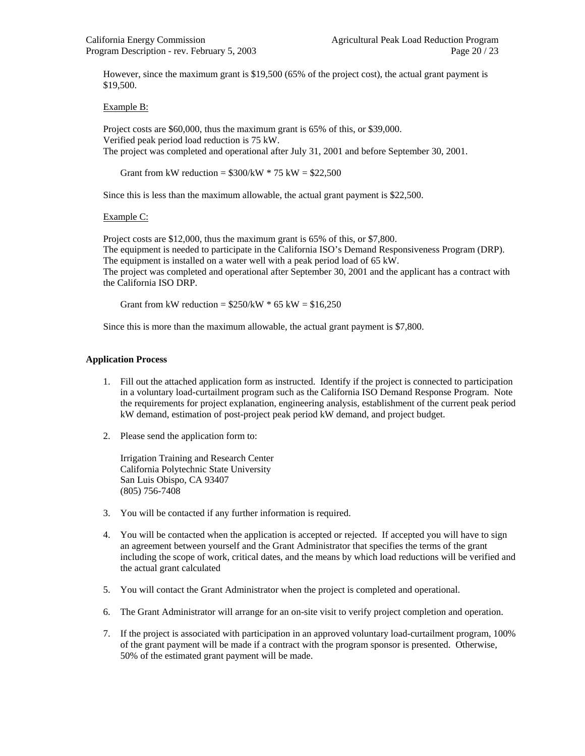However, since the maximum grant is \$19,500 (65% of the project cost), the actual grant payment is \$19,500.

#### Example B:

Project costs are \$60,000, thus the maximum grant is 65% of this, or \$39,000. Verified peak period load reduction is 75 kW. The project was completed and operational after July 31, 2001 and before September 30, 2001.

Grant from kW reduction =  $$300/kW * 75 kW = $22,500$ 

Since this is less than the maximum allowable, the actual grant payment is \$22,500.

#### Example C:

Project costs are \$12,000, thus the maximum grant is 65% of this, or \$7,800. The equipment is needed to participate in the California ISO's Demand Responsiveness Program (DRP). The equipment is installed on a water well with a peak period load of 65 kW. The project was completed and operational after September 30, 2001 and the applicant has a contract with the California ISO DRP.

Grant from kW reduction =  $$250/kW * 65 kW = $16,250$ 

Since this is more than the maximum allowable, the actual grant payment is \$7,800.

#### **Application Process**

- 1. Fill out the attached application form as instructed. Identify if the project is connected to participation in a voluntary load-curtailment program such as the California ISO Demand Response Program. Note the requirements for project explanation, engineering analysis, establishment of the current peak period kW demand, estimation of post-project peak period kW demand, and project budget.
- 2. Please send the application form to:

Irrigation Training and Research Center California Polytechnic State University San Luis Obispo, CA 93407 (805) 756-7408

- 3. You will be contacted if any further information is required.
- 4. You will be contacted when the application is accepted or rejected. If accepted you will have to sign an agreement between yourself and the Grant Administrator that specifies the terms of the grant including the scope of work, critical dates, and the means by which load reductions will be verified and the actual grant calculated
- 5. You will contact the Grant Administrator when the project is completed and operational.
- 6. The Grant Administrator will arrange for an on-site visit to verify project completion and operation.
- 7. If the project is associated with participation in an approved voluntary load-curtailment program, 100% of the grant payment will be made if a contract with the program sponsor is presented. Otherwise, 50% of the estimated grant payment will be made.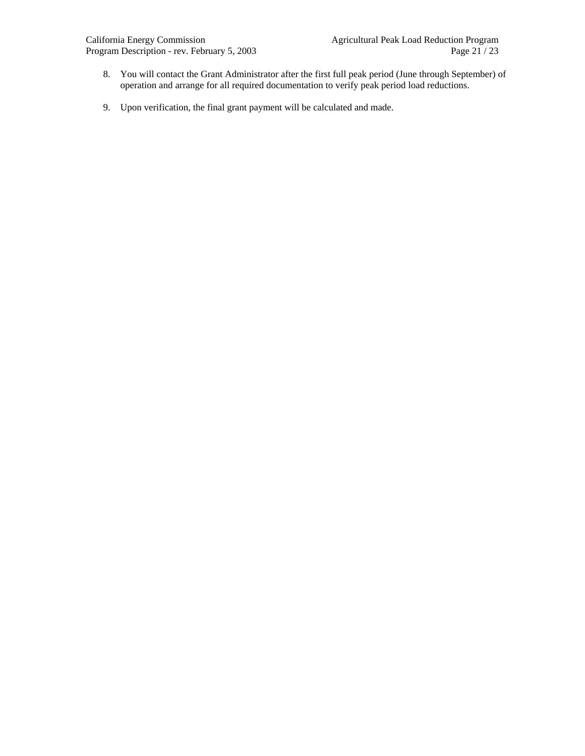- 8. You will contact the Grant Administrator after the first full peak period (June through September) of operation and arrange for all required documentation to verify peak period load reductions.
- 9. Upon verification, the final grant payment will be calculated and made.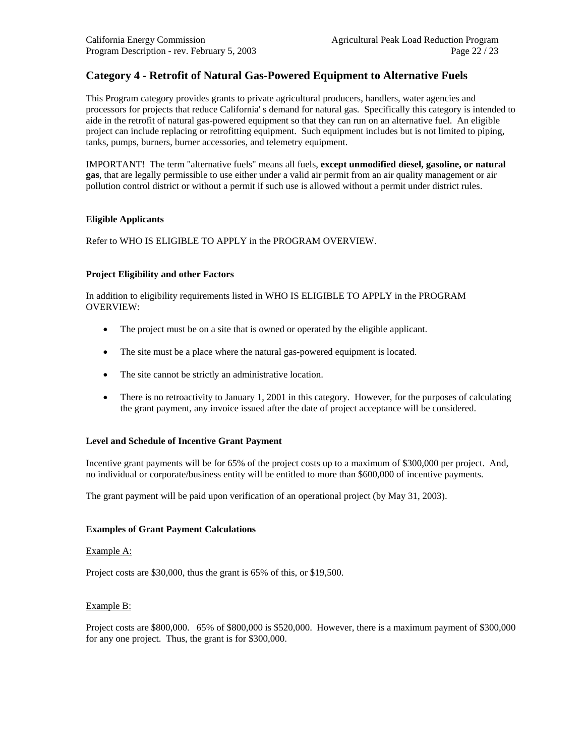# **Category 4 - Retrofit of Natural Gas-Powered Equipment to Alternative Fuels**

This Program category provides grants to private agricultural producers, handlers, water agencies and processors for projects that reduce California' s demand for natural gas. Specifically this category is intended to aide in the retrofit of natural gas-powered equipment so that they can run on an alternative fuel. An eligible project can include replacing or retrofitting equipment. Such equipment includes but is not limited to piping, tanks, pumps, burners, burner accessories, and telemetry equipment.

IMPORTANT! The term "alternative fuels" means all fuels, **except unmodified diesel, gasoline, or natural gas**, that are legally permissible to use either under a valid air permit from an air quality management or air pollution control district or without a permit if such use is allowed without a permit under district rules.

#### **Eligible Applicants**

Refer to WHO IS ELIGIBLE TO APPLY in the PROGRAM OVERVIEW.

#### **Project Eligibility and other Factors**

In addition to eligibility requirements listed in WHO IS ELIGIBLE TO APPLY in the PROGRAM OVERVIEW:

- The project must be on a site that is owned or operated by the eligible applicant.
- The site must be a place where the natural gas-powered equipment is located.
- The site cannot be strictly an administrative location.
- There is no retroactivity to January 1, 2001 in this category. However, for the purposes of calculating the grant payment, any invoice issued after the date of project acceptance will be considered.

#### **Level and Schedule of Incentive Grant Payment**

Incentive grant payments will be for 65% of the project costs up to a maximum of \$300,000 per project. And, no individual or corporate/business entity will be entitled to more than \$600,000 of incentive payments.

The grant payment will be paid upon verification of an operational project (by May 31, 2003).

#### **Examples of Grant Payment Calculations**

#### Example A:

Project costs are \$30,000, thus the grant is 65% of this, or \$19,500.

#### Example B:

Project costs are \$800,000. 65% of \$800,000 is \$520,000. However, there is a maximum payment of \$300,000 for any one project. Thus, the grant is for \$300,000.